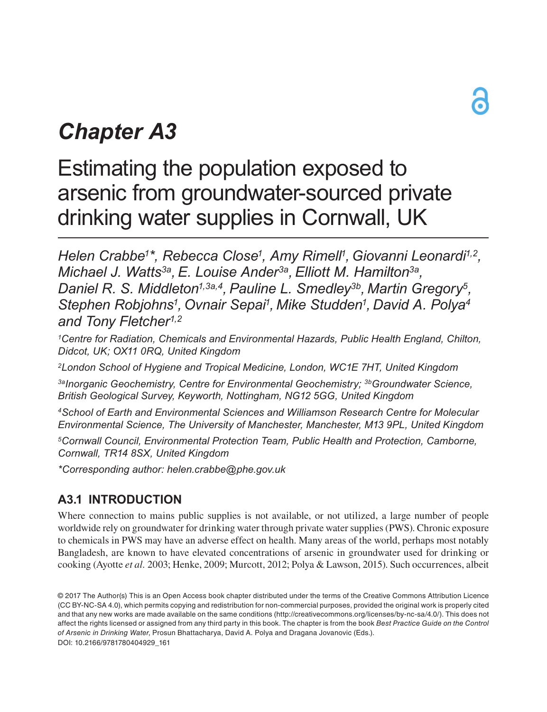# *Chapter A3*

## Estimating the population exposed to arsenic from groundwater-sourced private drinking water supplies in Cornwall, UK

*Helen Crabbe1\*, Rebecca Close1, Amy Rimell1, Giovanni Leonardi1,2, Michael J. Watts3a, E. Louise Ander3a, Elliott M. Hamilton3a, Daniel R. S. Middleton1,3a,4, Pauline L. Smedley3b, Martin Gregory5, Stephen Robjohns1, Ovnair Sepai1, Mike Studden1, David A. Polya4 and Tony Fletcher1,2*

*1Centre for Radiation, Chemicals and Environmental Hazards, Public Health England, Chilton, Didcot, UK; OX11 0RQ, United Kingdom*

*2London School of Hygiene and Tropical Medicine, London, WC1E 7HT, United Kingdom*

*3aInorganic Geochemistry, Centre for Environmental Geochemistry; 3bGroundwater Science, British Geological Survey, Keyworth, Nottingham, NG12 5GG, United Kingdom*

*4School of Earth and Environmental Sciences and Williamson Research Centre for Molecular Environmental Science, The University of Manchester, Manchester, M13 9PL, United Kingdom*

*5Cornwall Council, Environmental Protection Team, Public Health and Protection, Camborne, Cornwall, TR14 8SX, United Kingdom*

*\*Corresponding author: helen.crabbe@phe.gov.uk*

## **A3.1 INTRODUCTION**

Where connection to mains public supplies is not available, or not utilized, a large number of people worldwide rely on groundwater for drinking water through private water supplies (PWS). Chronic exposure to chemicals in PWS may have an adverse effect on health. Many areas of the world, perhaps most notably Bangladesh, are known to have elevated concentrations of arsenic in groundwater used for drinking or cooking (Ayotte *et al.* 2003; Henke, 2009; Murcott, 2012; Polya & Lawson, 2015). Such occurrences, albeit

<sup>© 2017</sup> The Author(s) This is an Open Access book chapter distributed under the terms of the Creative Commons Attribution Licence (CC BY-NC-SA 4.0), which permits copying and redistribution for non-commercial purposes, provided the original work is properly cited and that any new works are made available on the same conditions (http://creativecommons.org/licenses/by-nc-sa/4.0/). This does not affect the rights licensed or assigned from any third party in this book. The chapter is from the book *Best Practice Guide on the Control of Arsenic in Drinking Water*, Prosun Bhattacharya, David A. Polya and Dragana Jovanovic (Eds.). DOI: 10.2166/9781780404929\_161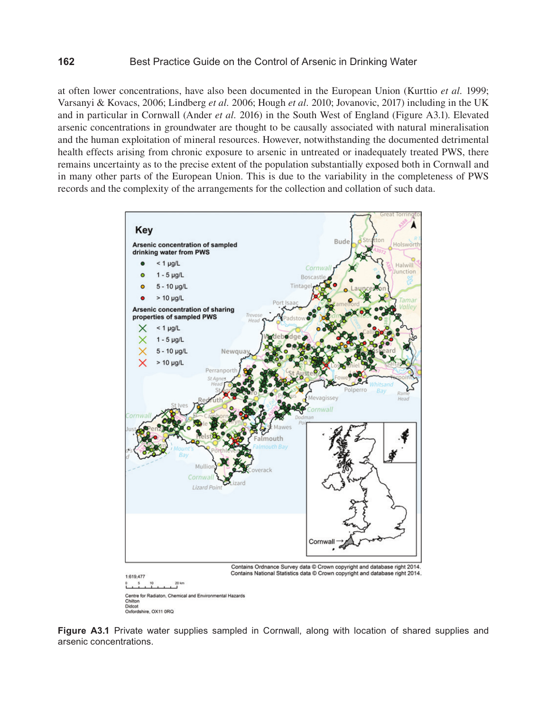at often lower concentrations, have also been documented in the European Union (Kurttio *et al.* 1999; Varsanyi & Kovacs, 2006; Lindberg *et al.* 2006; Hough *et al.* 2010; Jovanovic, 2017) including in the UK and in particular in Cornwall (Ander *et al.* 2016) in the South West of England (Figure A3.1). Elevated arsenic concentrations in groundwater are thought to be causally associated with natural mineralisation and the human exploitation of mineral resources. However, notwithstanding the documented detrimental health effects arising from chronic exposure to arsenic in untreated or inadequately treated PWS, there remains uncertainty as to the precise extent of the population substantially exposed both in Cornwall and in many other parts of the European Union. This is due to the variability in the completeness of PWS records and the complexity of the arrangements for the collection and collation of such data.



**Figure A3.1** Private water supplies sampled in Cornwall, along with location of shared supplies and arsenic concentrations.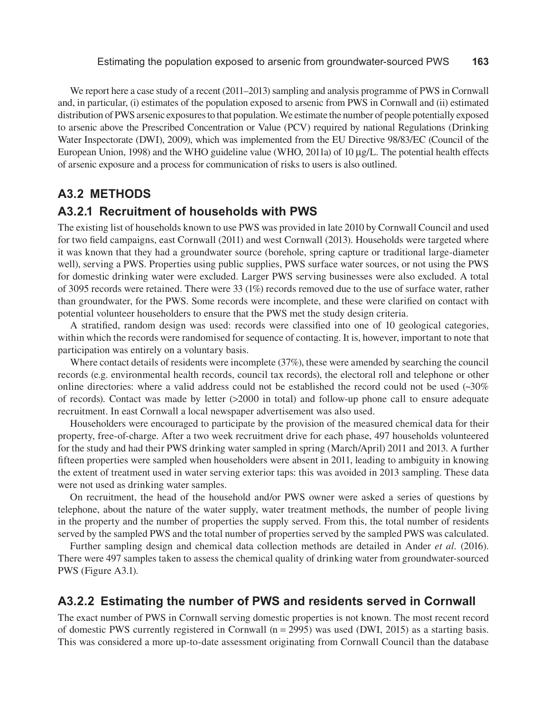We report here a case study of a recent (2011–2013) sampling and analysis programme of PWS in Cornwall and, in particular, (i) estimates of the population exposed to arsenic from PWS in Cornwall and (ii) estimated distribution of PWS arsenic exposures to that population. We estimate the number of people potentially exposed to arsenic above the Prescribed Concentration or Value (PCV) required by national Regulations (Drinking Water Inspectorate (DWI), 2009), which was implemented from the EU Directive 98/83/EC (Council of the European Union, 1998) and the WHO guideline value (WHO, 2011a) of 10 µg/L. The potential health effects of arsenic exposure and a process for communication of risks to users is also outlined.

#### **A3.2 METHODS**

### **A3.2.1 Recruitment of households with PWS**

The existing list of households known to use PWS was provided in late 2010 by Cornwall Council and used for two field campaigns, east Cornwall (2011) and west Cornwall (2013). Households were targeted where it was known that they had a groundwater source (borehole, spring capture or traditional large-diameter well), serving a PWS. Properties using public supplies, PWS surface water sources, or not using the PWS for domestic drinking water were excluded. Larger PWS serving businesses were also excluded. A total of 3095 records were retained. There were 33 (1%) records removed due to the use of surface water, rather than groundwater, for the PWS. Some records were incomplete, and these were clarified on contact with potential volunteer householders to ensure that the PWS met the study design criteria.

A stratified, random design was used: records were classified into one of 10 geological categories, within which the records were randomised for sequence of contacting. It is, however, important to note that participation was entirely on a voluntary basis.

Where contact details of residents were incomplete (37%), these were amended by searching the council records (e.g. environmental health records, council tax records), the electoral roll and telephone or other online directories: where a valid address could not be established the record could not be used (~30% of records). Contact was made by letter (>2000 in total) and follow-up phone call to ensure adequate recruitment. In east Cornwall a local newspaper advertisement was also used.

Householders were encouraged to participate by the provision of the measured chemical data for their property, free-of-charge. After a two week recruitment drive for each phase, 497 households volunteered for the study and had their PWS drinking water sampled in spring (March/April) 2011 and 2013. A further fifteen properties were sampled when householders were absent in 2011, leading to ambiguity in knowing the extent of treatment used in water serving exterior taps: this was avoided in 2013 sampling. These data were not used as drinking water samples.

On recruitment, the head of the household and/or PWS owner were asked a series of questions by telephone, about the nature of the water supply, water treatment methods, the number of people living in the property and the number of properties the supply served. From this, the total number of residents served by the sampled PWS and the total number of properties served by the sampled PWS was calculated.

Further sampling design and chemical data collection methods are detailed in Ander *et al.* (2016). There were 497 samples taken to assess the chemical quality of drinking water from groundwater-sourced PWS (Figure A3.1).

#### **A3.2.2 Estimating the number of PWS and residents served in Cornwall**

The exact number of PWS in Cornwall serving domestic properties is not known. The most recent record of domestic PWS currently registered in Cornwall  $(n = 2995)$  was used (DWI, 2015) as a starting basis. This was considered a more up-to-date assessment originating from Cornwall Council than the database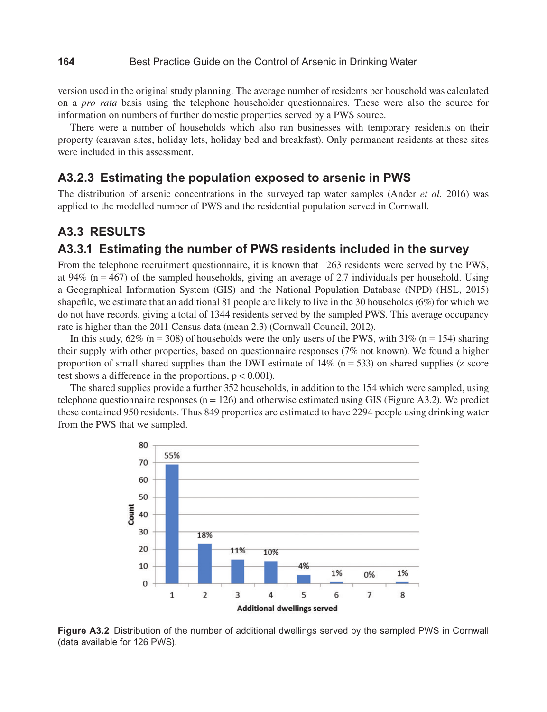version used in the original study planning. The average number of residents per household was calculated on a *pro rata* basis using the telephone householder questionnaires. These were also the source for information on numbers of further domestic properties served by a PWS source.

There were a number of households which also ran businesses with temporary residents on their property (caravan sites, holiday lets, holiday bed and breakfast). Only permanent residents at these sites were included in this assessment.

#### **A3.2.3 Estimating the population exposed to arsenic in PWS**

The distribution of arsenic concentrations in the surveyed tap water samples (Ander *et al.* 2016) was applied to the modelled number of PWS and the residential population served in Cornwall.

#### **A3.3 RESULTS**

#### **A3.3.1 Estimating the number of PWS residents included in the survey**

From the telephone recruitment questionnaire, it is known that 1263 residents were served by the PWS, at 94%  $(n = 467)$  of the sampled households, giving an average of 2.7 individuals per household. Using a Geographical Information System (GIS) and the National Population Database (NPD) (HSL, 2015) shapefile, we estimate that an additional 81 people are likely to live in the 30 households (6%) for which we do not have records, giving a total of 1344 residents served by the sampled PWS. This average occupancy rate is higher than the 2011 Census data (mean 2.3) (Cornwall Council, 2012).

In this study,  $62\%$  (n = 308) of households were the only users of the PWS, with  $31\%$  (n = 154) sharing their supply with other properties, based on questionnaire responses (7% not known). We found a higher proportion of small shared supplies than the DWI estimate of  $14\%$  (n = 533) on shared supplies (z score test shows a difference in the proportions,  $p < 0.001$ ).

The shared supplies provide a further 352 households, in addition to the 154 which were sampled, using telephone questionnaire responses  $(n = 126)$  and otherwise estimated using GIS (Figure A3.2). We predict these contained 950 residents. Thus 849 properties are estimated to have 2294 people using drinking water from the PWS that we sampled.



**Figure A3.2** Distribution of the number of additional dwellings served by the sampled PWS in Cornwall (data available for 126 PWS).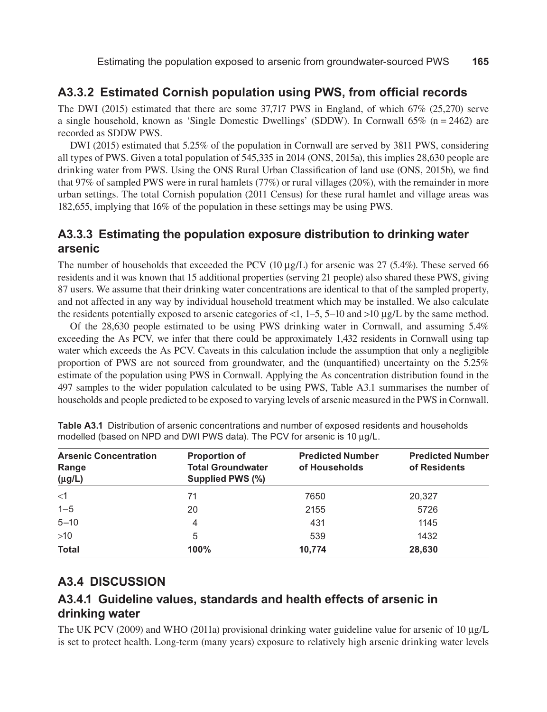## **A3.3.2 Estimated Cornish population using PWS, from official records**

The DWI (2015) estimated that there are some 37,717 PWS in England, of which 67% (25,270) serve a single household, known as 'Single Domestic Dwellings' (SDDW). In Cornwall  $65\%$  (n = 2462) are recorded as SDDW PWS.

DWI (2015) estimated that 5.25% of the population in Cornwall are served by 3811 PWS, considering all types of PWS. Given a total population of 545,335 in 2014 (ONS, 2015a), this implies 28,630 people are drinking water from PWS. Using the ONS Rural Urban Classification of land use (ONS, 2015b), we find that 97% of sampled PWS were in rural hamlets (77%) or rural villages (20%), with the remainder in more urban settings. The total Cornish population (2011 Census) for these rural hamlet and village areas was 182,655, implying that 16% of the population in these settings may be using PWS.

## **A3.3.3 Estimating the population exposure distribution to drinking water arsenic**

The number of households that exceeded the PCV (10  $\mu$ g/L) for arsenic was 27 (5.4%). These served 66 residents and it was known that 15 additional properties (serving 21 people) also shared these PWS, giving 87 users. We assume that their drinking water concentrations are identical to that of the sampled property, and not affected in any way by individual household treatment which may be installed. We also calculate the residents potentially exposed to arsenic categories of <1, 1–5, 5–10 and >10  $\mu$ g/L by the same method.

Of the 28,630 people estimated to be using PWS drinking water in Cornwall, and assuming 5.4% exceeding the As PCV, we infer that there could be approximately 1,432 residents in Cornwall using tap water which exceeds the As PCV. Caveats in this calculation include the assumption that only a negligible proportion of PWS are not sourced from groundwater, and the (unquantified) uncertainty on the 5.25% estimate of the population using PWS in Cornwall. Applying the As concentration distribution found in the 497 samples to the wider population calculated to be using PWS, Table A3.1 summarises the number of households and people predicted to be exposed to varying levels of arsenic measured in the PWS in Cornwall.

| <b>Arsenic Concentration</b><br>Range<br>$(\mu g/L)$ | <b>Proportion of</b><br><b>Total Groundwater</b><br>Supplied PWS (%) | <b>Predicted Number</b><br>of Households | <b>Predicted Number</b><br>of Residents |
|------------------------------------------------------|----------------------------------------------------------------------|------------------------------------------|-----------------------------------------|
| $<$ 1                                                | 71                                                                   | 7650                                     | 20,327                                  |
| $1 - 5$                                              | 20                                                                   | 2155                                     | 5726                                    |
| $5 - 10$                                             | 4                                                                    | 431                                      | 1145                                    |
| $>10$                                                | 5                                                                    | 539                                      | 1432                                    |
| <b>Total</b>                                         | 100%                                                                 | 10,774                                   | 28,630                                  |

**Table A3.1** Distribution of arsenic concentrations and number of exposed residents and households modelled (based on NPD and DWI PWS data). The PCV for arsenic is 10 µg/L.

### **A3.4 DISCUSSION**

## **A3.4.1 Guideline values, standards and health effects of arsenic in drinking water**

The UK PCV (2009) and WHO (2011a) provisional drinking water guideline value for arsenic of 10  $\mu$ g/L is set to protect health. Long-term (many years) exposure to relatively high arsenic drinking water levels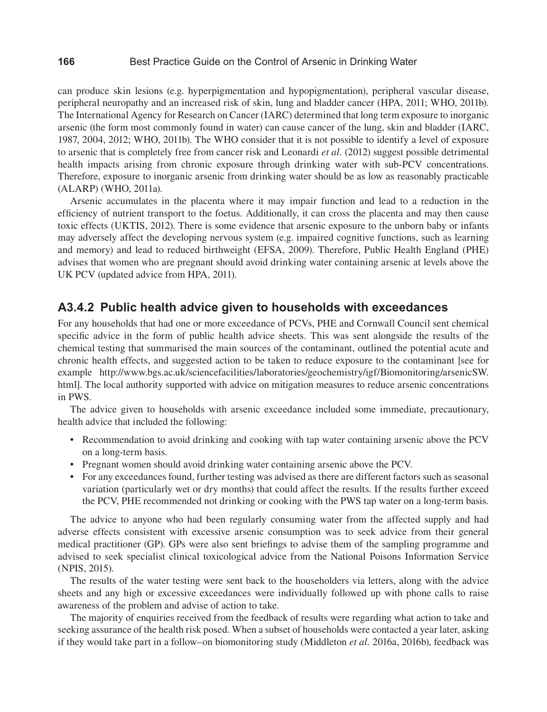can produce skin lesions (e.g. hyperpigmentation and hypopigmentation), peripheral vascular disease, peripheral neuropathy and an increased risk of skin, lung and bladder cancer (HPA, 2011; WHO, 2011b). The International Agency for Research on Cancer (IARC) determined that long term exposure to inorganic arsenic (the form most commonly found in water) can cause cancer of the lung, skin and bladder (IARC, 1987, 2004, 2012; WHO, 2011b). The WHO consider that it is not possible to identify a level of exposure to arsenic that is completely free from cancer risk and Leonardi *et al.* (2012) suggest possible detrimental health impacts arising from chronic exposure through drinking water with sub-PCV concentrations. Therefore, exposure to inorganic arsenic from drinking water should be as low as reasonably practicable (ALARP) (WHO, 2011a).

Arsenic accumulates in the placenta where it may impair function and lead to a reduction in the efficiency of nutrient transport to the foetus. Additionally, it can cross the placenta and may then cause toxic effects (UKTIS, 2012). There is some evidence that arsenic exposure to the unborn baby or infants may adversely affect the developing nervous system (e.g. impaired cognitive functions, such as learning and memory) and lead to reduced birthweight (EFSA, 2009). Therefore, Public Health England (PHE) advises that women who are pregnant should avoid drinking water containing arsenic at levels above the UK PCV (updated advice from HPA, 2011).

#### **A3.4.2 Public health advice given to households with exceedances**

For any households that had one or more exceedance of PCVs, PHE and Cornwall Council sent chemical specific advice in the form of public health advice sheets. This was sent alongside the results of the chemical testing that summarised the main sources of the contaminant, outlined the potential acute and chronic health effects, and suggested action to be taken to reduce exposure to the contaminant [see for example [http://www.bgs.ac.uk/sciencefacilities/laboratories/geochemistry/igf/Biomonitoring/arsenicSW.](http://www.bgs.ac.uk/sciencefacilities/laboratories/geochemistry/igf/Biomonitoring/arsenicSW.html) [html](http://www.bgs.ac.uk/sciencefacilities/laboratories/geochemistry/igf/Biomonitoring/arsenicSW.html)]. The local authority supported with advice on mitigation measures to reduce arsenic concentrations in PWS.

The advice given to households with arsenic exceedance included some immediate, precautionary, health advice that included the following:

- Recommendation to avoid drinking and cooking with tap water containing arsenic above the PCV on a long-term basis.
- Pregnant women should avoid drinking water containing arsenic above the PCV.
- For any exceedances found, further testing was advised as there are different factors such as seasonal variation (particularly wet or dry months) that could affect the results. If the results further exceed the PCV, PHE recommended not drinking or cooking with the PWS tap water on a long-term basis.

The advice to anyone who had been regularly consuming water from the affected supply and had adverse effects consistent with excessive arsenic consumption was to seek advice from their general medical practitioner (GP). GPs were also sent briefings to advise them of the sampling programme and advised to seek specialist clinical toxicological advice from the National Poisons Information Service (NPIS, 2015).

The results of the water testing were sent back to the householders via letters, along with the advice sheets and any high or excessive exceedances were individually followed up with phone calls to raise awareness of the problem and advise of action to take.

The majority of enquiries received from the feedback of results were regarding what action to take and seeking assurance of the health risk posed. When a subset of households were contacted a year later, asking if they would take part in a follow–on biomonitoring study (Middleton *et al.* 2016a, 2016b), feedback was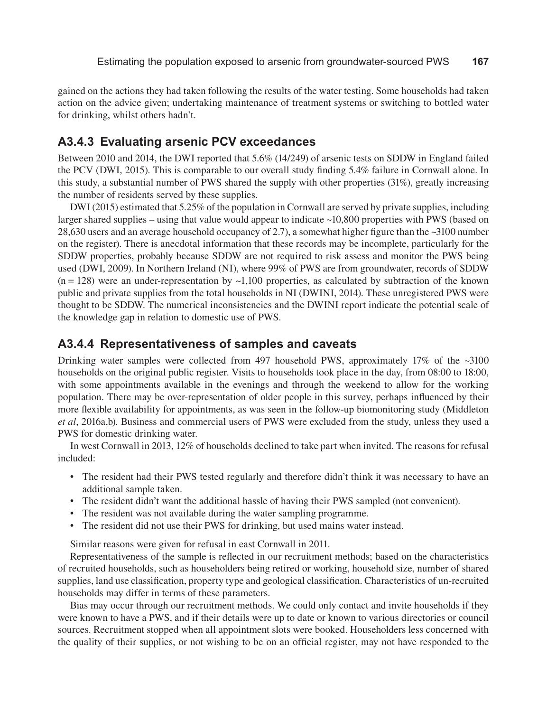gained on the actions they had taken following the results of the water testing. Some households had taken action on the advice given; undertaking maintenance of treatment systems or switching to bottled water for drinking, whilst others hadn't.

## **A3.4.3 Evaluating arsenic PCV exceedances**

Between 2010 and 2014, the DWI reported that 5.6% (14/249) of arsenic tests on SDDW in England failed the PCV (DWI, 2015). This is comparable to our overall study finding 5.4% failure in Cornwall alone. In this study, a substantial number of PWS shared the supply with other properties (31%), greatly increasing the number of residents served by these supplies.

DWI (2015) estimated that 5.25% of the population in Cornwall are served by private supplies, including larger shared supplies – using that value would appear to indicate ~10,800 properties with PWS (based on 28,630 users and an average household occupancy of 2.7), a somewhat higher figure than the ~3100 number on the register). There is anecdotal information that these records may be incomplete, particularly for the SDDW properties, probably because SDDW are not required to risk assess and monitor the PWS being used (DWI, 2009). In Northern Ireland (NI), where 99% of PWS are from groundwater, records of SDDW  $(n = 128)$  were an under-representation by  $\sim 1,100$  properties, as calculated by subtraction of the known public and private supplies from the total households in NI (DWINI, 2014). These unregistered PWS were thought to be SDDW. The numerical inconsistencies and the DWINI report indicate the potential scale of the knowledge gap in relation to domestic use of PWS.

#### **A3.4.4 Representativeness of samples and caveats**

Drinking water samples were collected from 497 household PWS, approximately 17% of the ~3100 households on the original public register. Visits to households took place in the day, from 08:00 to 18:00, with some appointments available in the evenings and through the weekend to allow for the working population. There may be over-representation of older people in this survey, perhaps influenced by their more flexible availability for appointments, as was seen in the follow-up biomonitoring study (Middleton *et al*, 2016a,b). Business and commercial users of PWS were excluded from the study, unless they used a PWS for domestic drinking water.

In west Cornwall in 2013, 12% of households declined to take part when invited. The reasons for refusal included:

- The resident had their PWS tested regularly and therefore didn't think it was necessary to have an additional sample taken.
- The resident didn't want the additional hassle of having their PWS sampled (not convenient).
- The resident was not available during the water sampling programme.
- The resident did not use their PWS for drinking, but used mains water instead.

Similar reasons were given for refusal in east Cornwall in 2011.

Representativeness of the sample is reflected in our recruitment methods; based on the characteristics of recruited households, such as householders being retired or working, household size, number of shared supplies, land use classification, property type and geological classification. Characteristics of un-recruited households may differ in terms of these parameters.

Bias may occur through our recruitment methods. We could only contact and invite households if they were known to have a PWS, and if their details were up to date or known to various directories or council sources. Recruitment stopped when all appointment slots were booked. Householders less concerned with the quality of their supplies, or not wishing to be on an official register, may not have responded to the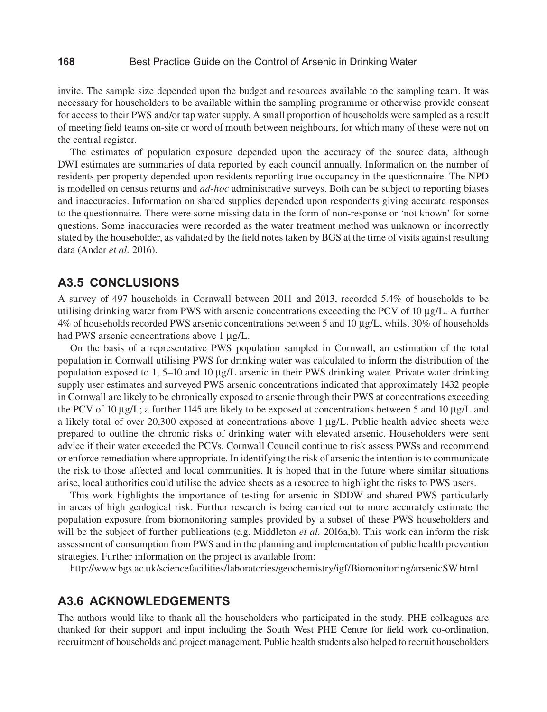#### **168** Best Practice Guide on the Control of Arsenic in Drinking Water

invite. The sample size depended upon the budget and resources available to the sampling team. It was necessary for householders to be available within the sampling programme or otherwise provide consent for access to their PWS and/or tap water supply. A small proportion of households were sampled as a result of meeting field teams on-site or word of mouth between neighbours, for which many of these were not on the central register.

The estimates of population exposure depended upon the accuracy of the source data, although DWI estimates are summaries of data reported by each council annually. Information on the number of residents per property depended upon residents reporting true occupancy in the questionnaire. The NPD is modelled on census returns and *ad-hoc* administrative surveys. Both can be subject to reporting biases and inaccuracies. Information on shared supplies depended upon respondents giving accurate responses to the questionnaire. There were some missing data in the form of non-response or 'not known' for some questions. Some inaccuracies were recorded as the water treatment method was unknown or incorrectly stated by the householder, as validated by the field notes taken by BGS at the time of visits against resulting data (Ander *et al.* 2016).

#### **A3.5 CONCLUSIONS**

A survey of 497 households in Cornwall between 2011 and 2013, recorded 5.4% of households to be utilising drinking water from PWS with arsenic concentrations exceeding the PCV of 10 µg/L. A further 4% of households recorded PWS arsenic concentrations between 5 and 10 µg/L, whilst 30% of households had PWS arsenic concentrations above 1  $\mu$ g/L.

On the basis of a representative PWS population sampled in Cornwall, an estimation of the total population in Cornwall utilising PWS for drinking water was calculated to inform the distribution of the population exposed to 1, 5–10 and 10 µg/L arsenic in their PWS drinking water. Private water drinking supply user estimates and surveyed PWS arsenic concentrations indicated that approximately 1432 people in Cornwall are likely to be chronically exposed to arsenic through their PWS at concentrations exceeding the PCV of 10  $\mu$ g/L; a further 1145 are likely to be exposed at concentrations between 5 and 10  $\mu$ g/L and a likely total of over 20,300 exposed at concentrations above 1 µg/L. Public health advice sheets were prepared to outline the chronic risks of drinking water with elevated arsenic. Householders were sent advice if their water exceeded the PCVs. Cornwall Council continue to risk assess PWSs and recommend or enforce remediation where appropriate. In identifying the risk of arsenic the intention is to communicate the risk to those affected and local communities. It is hoped that in the future where similar situations arise, local authorities could utilise the advice sheets as a resource to highlight the risks to PWS users.

This work highlights the importance of testing for arsenic in SDDW and shared PWS particularly in areas of high geological risk. Further research is being carried out to more accurately estimate the population exposure from biomonitoring samples provided by a subset of these PWS householders and will be the subject of further publications (e.g. Middleton *et al.* 2016a,b). This work can inform the risk assessment of consumption from PWS and in the planning and implementation of public health prevention strategies. Further information on the project is available from:

<http://www.bgs.ac.uk/sciencefacilities/laboratories/geochemistry/igf/Biomonitoring/arsenicSW.html>

#### **A3.6 ACKNOWLEDGEMENTS**

The authors would like to thank all the householders who participated in the study. PHE colleagues are thanked for their support and input including the South West PHE Centre for field work co-ordination, recruitment of households and project management. Public health students also helped to recruit householders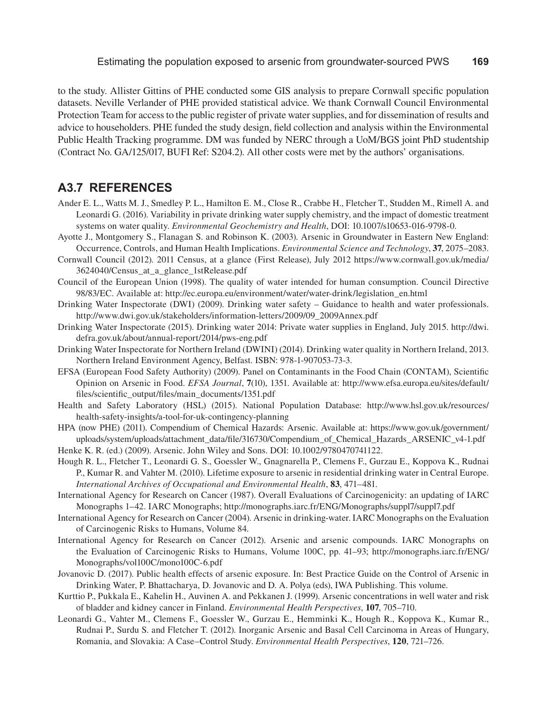to the study. Allister Gittins of PHE conducted some GIS analysis to prepare Cornwall specific population datasets. Neville Verlander of PHE provided statistical advice. We thank Cornwall Council Environmental Protection Team for access to the public register of private water supplies, and for dissemination of results and advice to householders. PHE funded the study design, field collection and analysis within the Environmental Public Health Tracking programme. DM was funded by NERC through a UoM/BGS joint PhD studentship (Contract No. GA/125/017, BUFI Ref: S204.2). All other costs were met by the authors' organisations.

### **A3.7 REFERENCES**

- Ander E. L., Watts M. J., Smedley P. L., Hamilton E. M., Close R., Crabbe H., Fletcher T., Studden M., Rimell A. and Leonardi G. (2016). Variability in private drinking water supply chemistry, and the impact of domestic treatment systems on water quality. *Environmental Geochemistry and Health*, DOI: 10.1007/s10653-016-9798-0.
- Ayotte J., Montgomery S., Flanagan S. and Robinson K. (2003). Arsenic in Groundwater in Eastern New England: Occurrence, Controls, and Human Health Implications. *Environmental Science and Technology*, **37**, 2075–2083.
- Cornwall Council (2012). 2011 Census, at a glance (First Release), July 2012 [https://www.cornwall.gov.uk/media/](https://www.cornwall.gov.uk/media/3624040/Census_at_a_glance_1stRelease.pdf) [3624040/Census\\_at\\_a\\_glance\\_1stRelease.pdf](https://www.cornwall.gov.uk/media/3624040/Census_at_a_glance_1stRelease.pdf)
- Council of the European Union (1998). The quality of water intended for human consumption. Council Directive 98/83/EC. Available at: [http://ec.europa.eu/environment/water/water-drink/legislation\\_en.html](http://ec.europa.eu/environment/water/water-drink/legislation_en.html)
- Drinking Water Inspectorate (DWI) (2009). Drinking water safety Guidance to health and water professionals. [http://www.dwi.gov.uk/stakeholders/information-letters/2009/09\\_2009Annex.pdf](http://www.dwi.gov.uk/stakeholders/information-letters/2009/09_2009Annex.pdf)
- Drinking Water Inspectorate (2015). Drinking water 2014: Private water supplies in England, July 2015. [http://dwi.](http://dwi.defra.gov.uk/about/annual-report/2014/pws-eng.pdf) [defra.gov.uk/about/annual-report/2014/pws-eng.pdf](http://dwi.defra.gov.uk/about/annual-report/2014/pws-eng.pdf)
- Drinking Water Inspectorate for Northern Ireland (DWINI) (2014). Drinking water quality in Northern Ireland, 2013. Northern Ireland Environment Agency, Belfast. ISBN: 978-1-907053-73-3.
- EFSA (European Food Safety Authority) (2009). Panel on Contaminants in the Food Chain (CONTAM), Scientific Opinion on Arsenic in Food. *EFSA Journal*, **7**(10), 1351. Available at: [http://www.efsa.europa.eu/sites/default/](http://www.efsa.europa.eu/sites/default/files/scientific_output/files/main_documents/1351.pdf) [files/scientific\\_output/files/main\\_documents/1351.pdf](http://www.efsa.europa.eu/sites/default/files/scientific_output/files/main_documents/1351.pdf)
- Health and Safety Laboratory (HSL) (2015). National Population Database: [http://www.hsl.gov.uk/resources/](http://www.hsl.gov.uk/resources/health-safety-insights/a-tool-for-uk-contingency-planning) [health-safety-insights/a-tool-for-uk-contingency-planning](http://www.hsl.gov.uk/resources/health-safety-insights/a-tool-for-uk-contingency-planning)
- HPA (now PHE) (2011). Compendium of Chemical Hazards: Arsenic. Available at: [https://www.gov.uk/government/](https://www.gov.uk/government/uploads/system/uploads/attachment_data/file/316730/Compendium_of_Chemical_Hazards_ARSENIC_v4-1.pdf) [uploads/system/uploads/attachment\\_data/file/316730/Compendium\\_of\\_Chemical\\_Hazards\\_ARSENIC\\_v4-1.pdf](https://www.gov.uk/government/uploads/system/uploads/attachment_data/file/316730/Compendium_of_Chemical_Hazards_ARSENIC_v4-1.pdf)
- Henke K. R. (ed.) (2009). Arsenic. John Wiley and Sons. DOI: 10.1002/9780470741122.
- Hough R. L., Fletcher T., Leonardi G. S., Goessler W., Gnagnarella P., Clemens F., Gurzau E., Koppova K., Rudnai P., Kumar R. and Vahter M. (2010). Lifetime exposure to arsenic in residential drinking water in Central Europe. *International Archives of Occupational and Environmental Health*, **83**, 471–481.
- International Agency for Research on Cancer (1987). Overall Evaluations of Carcinogenicity: an updating of IARC Monographs 1–42. IARC Monographs; <http://monographs.iarc.fr/ENG/Monographs/suppl7/suppl7.pdf>
- International Agency for Research on Cancer (2004). Arsenic in drinking-water. IARC Monographs on the Evaluation of Carcinogenic Risks to Humans, Volume 84.
- International Agency for Research on Cancer (2012). Arsenic and arsenic compounds. IARC Monographs on the Evaluation of Carcinogenic Risks to Humans, Volume 100C, pp. 41–93; [http://monographs.iarc.fr/ENG/](http://monographs.iarc.fr/ENG/Monographs/vol100C/mono100C-6.pdf) [Monographs/vol100C/mono100C-6.pdf](http://monographs.iarc.fr/ENG/Monographs/vol100C/mono100C-6.pdf)
- Jovanovic D. (2017). Public health effects of arsenic exposure. In: Best Practice Guide on the Control of Arsenic in Drinking Water, P. Bhattacharya, D. Jovanovic and D. A. Polya (eds), IWA Publishing. This volume.
- Kurttio P., Pukkala E., Kahelin H., Auvinen A. and Pekkanen J. (1999). Arsenic concentrations in well water and risk of bladder and kidney cancer in Finland. *Environmental Health Perspectives*, **107**, 705–710.
- Leonardi G., Vahter M., Clemens F., Goessler W., Gurzau E., Hemminki K., Hough R., Koppova K., Kumar R., Rudnai P., Surdu S. and Fletcher T. (2012). Inorganic Arsenic and Basal Cell Carcinoma in Areas of Hungary, Romania, and Slovakia: A Case–Control Study. *Environmental Health Perspectives*, **120**, 721–726.